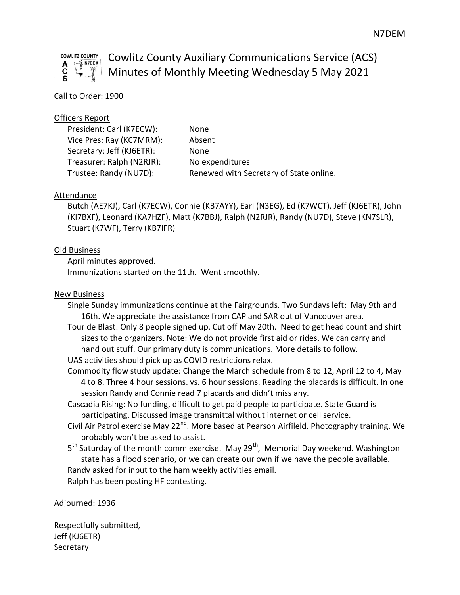

# Cowlitz County Auxiliary Communications Service (ACS)  $\perp$  Minutes of Monthly Meeting Wednesday 5 May 2021

## Call to Order: 1900

#### Officers Report

President: Carl (K7ECW): None Vice Pres: Ray (KC7MRM): Absent Secretary: Jeff (KJ6ETR): None Treasurer: Ralph (N2RJR): No expenditures

Trustee: Randy (NU7D): Renewed with Secretary of State online.

#### Attendance

Butch (AE7KJ), Carl (K7ECW), Connie (KB7AYY), Earl (N3EG), Ed (K7WCT), Jeff (KJ6ETR), John (KI7BXF), Leonard (KA7HZF), Matt (K7BBJ), Ralph (N2RJR), Randy (NU7D), Steve (KN7SLR), Stuart (K7WF), Terry (KB7IFR)

#### Old Business

April minutes approved. Immunizations started on the 11th. Went smoothly.

### New Business

- Single Sunday immunizations continue at the Fairgrounds. Two Sundays left: May 9th and 16th. We appreciate the assistance from CAP and SAR out of Vancouver area.
- Tour de Blast: Only 8 people signed up. Cut off May 20th. Need to get head count and shirt sizes to the organizers. Note: We do not provide first aid or rides. We can carry and hand out stuff. Our primary duty is communications. More details to follow.
- UAS activities should pick up as COVID restrictions relax.
- Commodity flow study update: Change the March schedule from 8 to 12, April 12 to 4, May 4 to 8. Three 4 hour sessions. vs. 6 hour sessions. Reading the placards is difficult. In one session Randy and Connie read 7 placards and didn't miss any.
- Cascadia Rising: No funding, difficult to get paid people to participate. State Guard is participating. Discussed image transmittal without internet or cell service.
- Civil Air Patrol exercise May 22<sup>nd</sup>. More based at Pearson Airfileld. Photography training. We probably won't be asked to assist.
- 5<sup>th</sup> Saturday of the month comm exercise. May 29<sup>th</sup>, Memorial Day weekend. Washington state has a flood scenario, or we can create our own if we have the people available. Randy asked for input to the ham weekly activities email. Ralph has been posting HF contesting.

Adjourned: 1936

Respectfully submitted, Jeff (KJ6ETR) **Secretary**